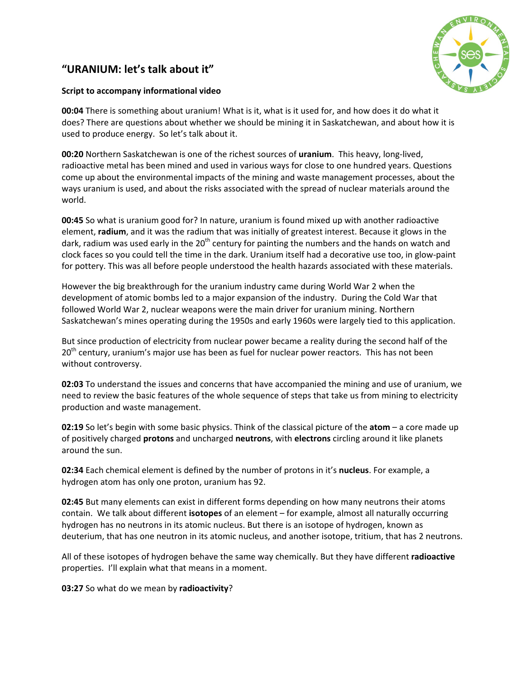## "URANIUM: let's talk about it"



## **Script to accompany informational video**

**00:04** There is something about uranium! What is it, what is it used for, and how does it do what it does? There are questions about whether we should be mining it in Saskatchewan, and about how it is used to produce energy. So let's talk about it.

**00:20** Northern Saskatchewan is one of the richest sources of *uranium*. This heavy, long-lived, radioactive metal has been mined and used in various ways for close to one hundred years. Questions come up about the environmental impacts of the mining and waste management processes, about the ways uranium is used, and about the risks associated with the spread of nuclear materials around the world.

**00:45** So what is uranium good for? In nature, uranium is found mixed up with another radioactive element, radium, and it was the radium that was initially of greatest interest. Because it glows in the dark, radium was used early in the 20<sup>th</sup> century for painting the numbers and the hands on watch and clock faces so you could tell the time in the dark. Uranium itself had a decorative use too, in glow-paint for pottery. This was all before people understood the health hazards associated with these materials.

However the big breakthrough for the uranium industry came during World War 2 when the development of atomic bombs led to a major expansion of the industry. During the Cold War that followed World War 2, nuclear weapons were the main driver for uranium mining. Northern Saskatchewan's mines operating during the 1950s and early 1960s were largely tied to this application.

But since production of electricity from nuclear power became a reality during the second half of the 20<sup>th</sup> century, uranium's major use has been as fuel for nuclear power reactors. This has not been without controversy.

**02:03** To understand the issues and concerns that have accompanied the mining and use of uranium, we need to review the basic features of the whole sequence of steps that take us from mining to electricity production and waste management.

**02:19** So let's begin with some basic physics. Think of the classical picture of the **atom** – a core made up of positively charged **protons** and uncharged **neutrons**, with **electrons** circling around it like planets around the sun.

**02:34** Each chemical element is defined by the number of protons in it's **nucleus**. For example, a hydrogen atom has only one proton, uranium has 92.

**02:45** But many elements can exist in different forms depending on how many neutrons their atoms contain. We talk about different isotopes of an element – for example, almost all naturally occurring hydrogen has no neutrons in its atomic nucleus. But there is an isotope of hydrogen, known as deuterium, that has one neutron in its atomic nucleus, and another isotope, tritium, that has 2 neutrons.

All of these isotopes of hydrogen behave the same way chemically. But they have different **radioactive** properties. I'll explain what that means in a moment.

**03:27** So what do we mean by radioactivity?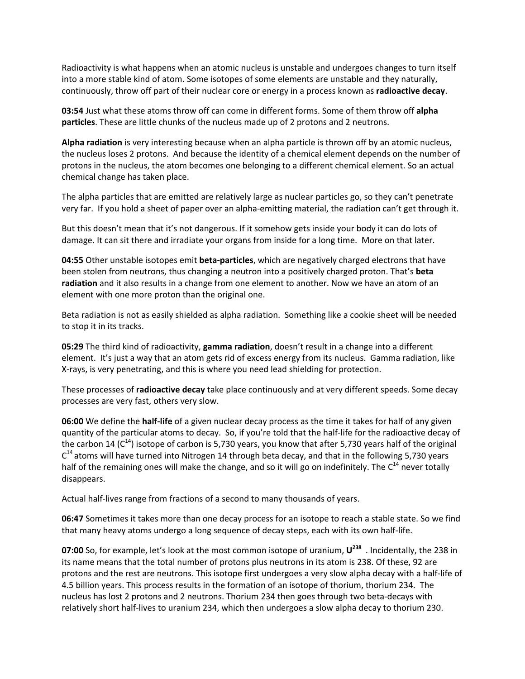Radioactivity is what happens when an atomic nucleus is unstable and undergoes changes to turn itself into a more stable kind of atom. Some isotopes of some elements are unstable and they naturally, continuously, throw off part of their nuclear core or energy in a process known as **radioactive decay**.

**03:54** Just what these atoms throw off can come in different forms. Some of them throw off alpha **particles**. These are little chunks of the nucleus made up of 2 protons and 2 neutrons.

**Alpha radiation** is very interesting because when an alpha particle is thrown off by an atomic nucleus, the nucleus loses 2 protons. And because the identity of a chemical element depends on the number of protons in the nucleus, the atom becomes one belonging to a different chemical element. So an actual chemical change has taken place.

The alpha particles that are emitted are relatively large as nuclear particles go, so they can't penetrate very far. If you hold a sheet of paper over an alpha-emitting material, the radiation can't get through it.

But this doesn't mean that it's not dangerous. If it somehow gets inside your body it can do lots of damage. It can sit there and irradiate your organs from inside for a long time. More on that later.

**04:55** Other unstable isotopes emit **beta-particles**, which are negatively charged electrons that have been stolen from neutrons, thus changing a neutron into a positively charged proton. That's **beta** radiation and it also results in a change from one element to another. Now we have an atom of an element with one more proton than the original one.

Beta radiation is not as easily shielded as alpha radiation. Something like a cookie sheet will be needed to stop it in its tracks.

**05:29** The third kind of radioactivity, gamma radiation, doesn't result in a change into a different element. It's just a way that an atom gets rid of excess energy from its nucleus. Gamma radiation, like X-rays, is very penetrating, and this is where you need lead shielding for protection.

These processes of **radioactive decay** take place continuously and at very different speeds. Some decay processes are very fast, others very slow.

**06:00** We define the **half-life** of a given nuclear decay process as the time it takes for half of any given quantity of the particular atoms to decay. So, if you're told that the half-life for the radioactive decay of the carbon 14 ( $C^{14}$ ) isotope of carbon is 5,730 years, you know that after 5,730 years half of the original  $C^{14}$  atoms will have turned into Nitrogen 14 through beta decay, and that in the following 5,730 years half of the remaining ones will make the change, and so it will go on indefinitely. The  $C^{14}$  never totally disappears.

Actual half-lives range from fractions of a second to many thousands of years.

**06:47** Sometimes it takes more than one decay process for an isotope to reach a stable state. So we find that many heavy atoms undergo a long sequence of decay steps, each with its own half-life.

**07:00** So, for example, let's look at the most common isotope of uranium,  $U^{238}$  . Incidentally, the 238 in its name means that the total number of protons plus neutrons in its atom is 238. Of these, 92 are protons and the rest are neutrons. This isotope first undergoes a very slow alpha decay with a half-life of 4.5 billion years. This process results in the formation of an isotope of thorium, thorium 234. The nucleus has lost 2 protons and 2 neutrons. Thorium 234 then goes through two beta-decays with relatively short half-lives to uranium 234, which then undergoes a slow alpha decay to thorium 230.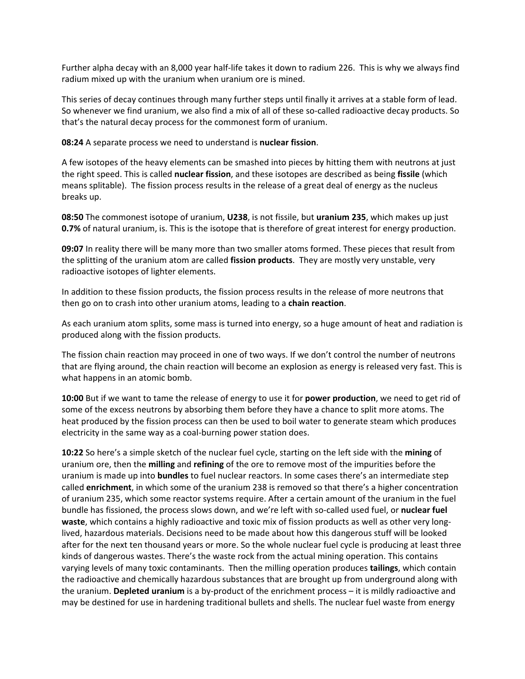Further alpha decay with an 8,000 year half-life takes it down to radium 226. This is why we always find radium mixed up with the uranium when uranium ore is mined.

This series of decay continues through many further steps until finally it arrives at a stable form of lead. So whenever we find uranium, we also find a mix of all of these so-called radioactive decay products. So that's the natural decay process for the commonest form of uranium.

**08:24** A separate process we need to understand is **nuclear fission**.

A few isotopes of the heavy elements can be smashed into pieces by hitting them with neutrons at just the right speed. This is called **nuclear fission**, and these isotopes are described as being fissile (which means splitable). The fission process results in the release of a great deal of energy as the nucleus breaks up.

**08:50** The commonest isotope of uranium, **U238**, is not fissile, but **uranium 235**, which makes up just **0.7%** of natural uranium, is. This is the isotope that is therefore of great interest for energy production.

**09:07** In reality there will be many more than two smaller atoms formed. These pieces that result from the splitting of the uranium atom are called **fission products**. They are mostly very unstable, very radioactive isotopes of lighter elements.

In addition to these fission products, the fission process results in the release of more neutrons that then go on to crash into other uranium atoms, leading to a chain reaction.

As each uranium atom splits, some mass is turned into energy, so a huge amount of heat and radiation is produced along with the fission products.

The fission chain reaction may proceed in one of two ways. If we don't control the number of neutrons that are flying around, the chain reaction will become an explosion as energy is released very fast. This is what happens in an atomic bomb.

**10:00** But if we want to tame the release of energy to use it for **power production**, we need to get rid of some of the excess neutrons by absorbing them before they have a chance to split more atoms. The heat produced by the fission process can then be used to boil water to generate steam which produces electricity in the same way as a coal-burning power station does.

**10:22** So here's a simple sketch of the nuclear fuel cycle, starting on the left side with the mining of uranium ore, then the **milling** and **refining** of the ore to remove most of the impurities before the uranium is made up into **bundles** to fuel nuclear reactors. In some cases there's an intermediate step called **enrichment**, in which some of the uranium 238 is removed so that there's a higher concentration of uranium 235, which some reactor systems require. After a certain amount of the uranium in the fuel bundle has fissioned, the process slows down, and we're left with so-called used fuel, or **nuclear fuel waste**, which contains a highly radioactive and toxic mix of fission products as well as other very longlived, hazardous materials. Decisions need to be made about how this dangerous stuff will be looked after for the next ten thousand years or more. So the whole nuclear fuel cycle is producing at least three kinds of dangerous wastes. There's the waste rock from the actual mining operation. This contains varying levels of many toxic contaminants. Then the milling operation produces **tailings**, which contain the radioactive and chemically hazardous substances that are brought up from underground along with the uranium. **Depleted uranium** is a by-product of the enrichment process – it is mildly radioactive and may be destined for use in hardening traditional bullets and shells. The nuclear fuel waste from energy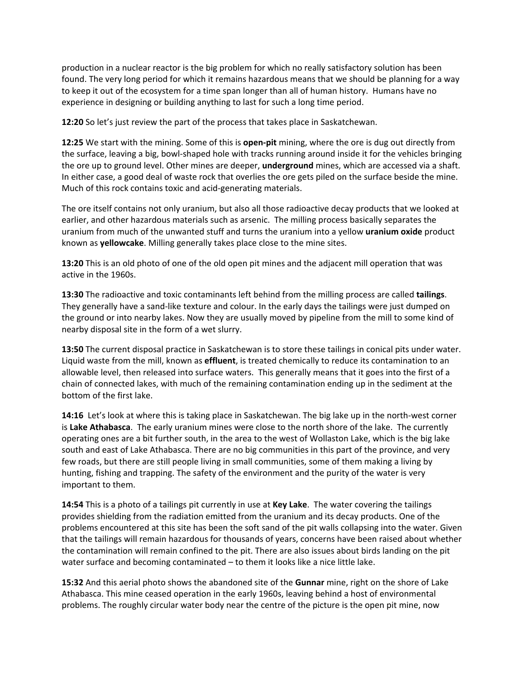production in a nuclear reactor is the big problem for which no really satisfactory solution has been found. The very long period for which it remains hazardous means that we should be planning for a way to keep it out of the ecosystem for a time span longer than all of human history. Humans have no experience in designing or building anything to last for such a long time period.

**12:20** So let's just review the part of the process that takes place in Saskatchewan.

**12:25** We start with the mining. Some of this is **open-pit** mining, where the ore is dug out directly from the surface, leaving a big, bowl-shaped hole with tracks running around inside it for the vehicles bringing the ore up to ground level. Other mines are deeper, **underground** mines, which are accessed via a shaft. In either case, a good deal of waste rock that overlies the ore gets piled on the surface beside the mine. Much of this rock contains toxic and acid-generating materials.

The ore itself contains not only uranium, but also all those radioactive decay products that we looked at earlier, and other hazardous materials such as arsenic. The milling process basically separates the uranium from much of the unwanted stuff and turns the uranium into a yellow **uranium oxide** product known as **yellowcake**. Milling generally takes place close to the mine sites.

**13:20** This is an old photo of one of the old open pit mines and the adjacent mill operation that was active in the 1960s.

**13:30** The radioactive and toxic contaminants left behind from the milling process are called tailings. They generally have a sand-like texture and colour. In the early days the tailings were just dumped on the ground or into nearby lakes. Now they are usually moved by pipeline from the mill to some kind of nearby disposal site in the form of a wet slurry.

**13:50** The current disposal practice in Saskatchewan is to store these tailings in conical pits under water. Liquid waste from the mill, known as **effluent**, is treated chemically to reduce its contamination to an allowable level, then released into surface waters. This generally means that it goes into the first of a chain of connected lakes, with much of the remaining contamination ending up in the sediment at the bottom of the first lake.

**14:16** Let's look at where this is taking place in Saskatchewan. The big lake up in the north-west corner is Lake Athabasca. The early uranium mines were close to the north shore of the lake. The currently operating ones are a bit further south, in the area to the west of Wollaston Lake, which is the big lake south and east of Lake Athabasca. There are no big communities in this part of the province, and very few roads, but there are still people living in small communities, some of them making a living by hunting, fishing and trapping. The safety of the environment and the purity of the water is very important to them.

**14:54** This is a photo of a tailings pit currently in use at Key Lake. The water covering the tailings provides shielding from the radiation emitted from the uranium and its decay products. One of the problems encountered at this site has been the soft sand of the pit walls collapsing into the water. Given that the tailings will remain hazardous for thousands of years, concerns have been raised about whether the contamination will remain confined to the pit. There are also issues about birds landing on the pit water surface and becoming contaminated – to them it looks like a nice little lake.

**15:32** And this aerial photo shows the abandoned site of the **Gunnar** mine, right on the shore of Lake Athabasca. This mine ceased operation in the early 1960s, leaving behind a host of environmental problems. The roughly circular water body near the centre of the picture is the open pit mine, now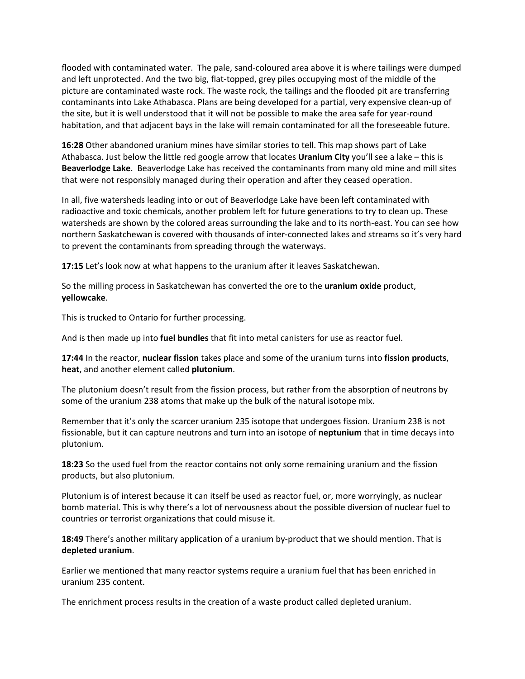flooded with contaminated water. The pale, sand-coloured area above it is where tailings were dumped and left unprotected. And the two big, flat-topped, grey piles occupying most of the middle of the picture are contaminated waste rock. The waste rock, the tailings and the flooded pit are transferring contaminants into Lake Athabasca. Plans are being developed for a partial, very expensive clean-up of the site, but it is well understood that it will not be possible to make the area safe for year-round habitation, and that adjacent bays in the lake will remain contaminated for all the foreseeable future.

**16:28** Other abandoned uranium mines have similar stories to tell. This map shows part of Lake Athabasca. Just below the little red google arrow that locates **Uranium City** you'll see a lake – this is Beaverlodge Lake. Beaverlodge Lake has received the contaminants from many old mine and mill sites that were not responsibly managed during their operation and after they ceased operation.

In all, five watersheds leading into or out of Beaverlodge Lake have been left contaminated with radioactive and toxic chemicals, another problem left for future generations to try to clean up. These watersheds are shown by the colored areas surrounding the lake and to its north-east. You can see how northern Saskatchewan is covered with thousands of inter-connected lakes and streams so it's very hard to prevent the contaminants from spreading through the waterways.

**17:15** Let's look now at what happens to the uranium after it leaves Saskatchewan.

So the milling process in Saskatchewan has converted the ore to the **uranium oxide** product, **yellowcake**.

This is trucked to Ontario for further processing.

And is then made up into **fuel bundles** that fit into metal canisters for use as reactor fuel.

**17:44** In the reactor, nuclear fission takes place and some of the uranium turns into fission products, **heat**,%and%another%element%called%**plutonium**.

The plutonium doesn't result from the fission process, but rather from the absorption of neutrons by some of the uranium 238 atoms that make up the bulk of the natural isotope mix.

Remember that it's only the scarcer uranium 235 isotope that undergoes fission. Uranium 238 is not fissionable, but it can capture neutrons and turn into an isotope of neptunium that in time decays into plutonium.

**18:23** So the used fuel from the reactor contains not only some remaining uranium and the fission products, but also plutonium.

Plutonium is of interest because it can itself be used as reactor fuel, or, more worryingly, as nuclear bomb material. This is why there's a lot of nervousness about the possible diversion of nuclear fuel to countries or terrorist organizations that could misuse it.

**18:49** There's another military application of a uranium by-product that we should mention. That is **depleted)uranium**.

Earlier we mentioned that many reactor systems require a uranium fuel that has been enriched in uranium 235 content.

The enrichment process results in the creation of a waste product called depleted uranium.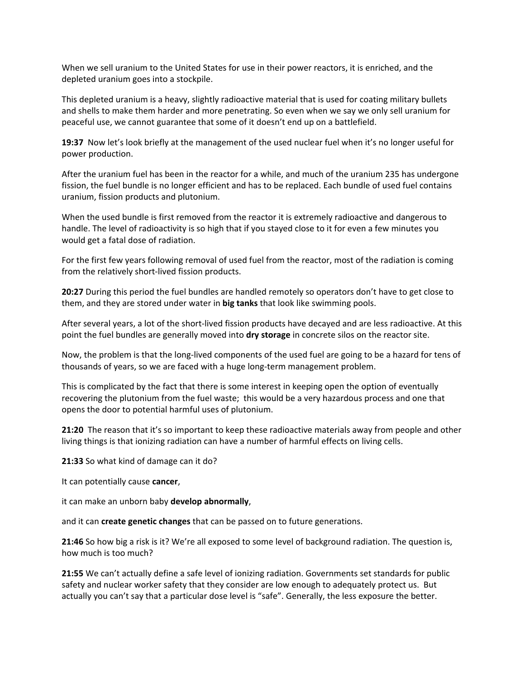When we sell uranium to the United States for use in their power reactors, it is enriched, and the depleted uranium goes into a stockpile.

This depleted uranium is a heavy, slightly radioactive material that is used for coating military bullets and shells to make them harder and more penetrating. So even when we say we only sell uranium for peaceful use, we cannot guarantee that some of it doesn't end up on a battlefield.

**19:37** Now let's look briefly at the management of the used nuclear fuel when it's no longer useful for power production.

After the uranium fuel has been in the reactor for a while, and much of the uranium 235 has undergone fission, the fuel bundle is no longer efficient and has to be replaced. Each bundle of used fuel contains uranium, fission products and plutonium.

When the used bundle is first removed from the reactor it is extremely radioactive and dangerous to handle. The level of radioactivity is so high that if you stayed close to it for even a few minutes you would get a fatal dose of radiation.

For the first few years following removal of used fuel from the reactor, most of the radiation is coming from the relatively short-lived fission products.

**20:27** During this period the fuel bundles are handled remotely so operators don't have to get close to them, and they are stored under water in **big tanks** that look like swimming pools.

After several years, a lot of the short-lived fission products have decayed and are less radioactive. At this point the fuel bundles are generally moved into dry storage in concrete silos on the reactor site.

Now, the problem is that the long-lived components of the used fuel are going to be a hazard for tens of thousands of years, so we are faced with a huge long-term management problem.

This is complicated by the fact that there is some interest in keeping open the option of eventually recovering the plutonium from the fuel waste; this would be a very hazardous process and one that opens the door to potential harmful uses of plutonium.

**21:20** The reason that it's so important to keep these radioactive materials away from people and other living things is that ionizing radiation can have a number of harmful effects on living cells.

**21:33** So what kind of damage can it do?

It can potentially cause cancer,

it can make an unborn baby **develop abnormally**,

and it can **create genetic changes** that can be passed on to future generations.

**21:46** So how big a risk is it? We're all exposed to some level of background radiation. The question is, how much is too much?

**21:55** We can't actually define a safe level of ionizing radiation. Governments set standards for public safety and nuclear worker safety that they consider are low enough to adequately protect us. But actually you can't say that a particular dose level is "safe". Generally, the less exposure the better.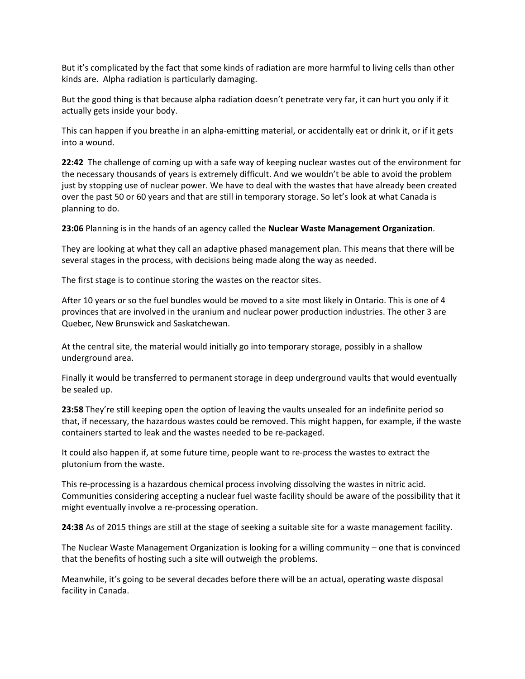But it's complicated by the fact that some kinds of radiation are more harmful to living cells than other kinds are. Alpha radiation is particularly damaging.

But the good thing is that because alpha radiation doesn't penetrate very far, it can hurt you only if it actually gets inside your body.

This can happen if you breathe in an alpha-emitting material, or accidentally eat or drink it, or if it gets into a wound.

**22:42** The challenge of coming up with a safe way of keeping nuclear wastes out of the environment for the necessary thousands of years is extremely difficult. And we wouldn't be able to avoid the problem just by stopping use of nuclear power. We have to deal with the wastes that have already been created over the past 50 or 60 years and that are still in temporary storage. So let's look at what Canada is planning to do.

**23:06** Planning is in the hands of an agency called the **Nuclear Waste Management Organization**.

They are looking at what they call an adaptive phased management plan. This means that there will be several stages in the process, with decisions being made along the way as needed.

The first stage is to continue storing the wastes on the reactor sites.

After 10 years or so the fuel bundles would be moved to a site most likely in Ontario. This is one of 4 provinces that are involved in the uranium and nuclear power production industries. The other 3 are Quebec, New Brunswick and Saskatchewan.

At the central site, the material would initially go into temporary storage, possibly in a shallow underground area.

Finally it would be transferred to permanent storage in deep underground vaults that would eventually be sealed up.

**23:58** They're still keeping open the option of leaving the vaults unsealed for an indefinite period so that, if necessary, the hazardous wastes could be removed. This might happen, for example, if the waste containers started to leak and the wastes needed to be re-packaged.

It could also happen if, at some future time, people want to re-process the wastes to extract the plutonium from the waste.

This re-processing is a hazardous chemical process involving dissolving the wastes in nitric acid. Communities considering accepting a nuclear fuel waste facility should be aware of the possibility that it might eventually involve a re-processing operation.

**24:38** As of 2015 things are still at the stage of seeking a suitable site for a waste management facility.

The Nuclear Waste Management Organization is looking for a willing community – one that is convinced that the benefits of hosting such a site will outweigh the problems.

Meanwhile, it's going to be several decades before there will be an actual, operating waste disposal facility in Canada.